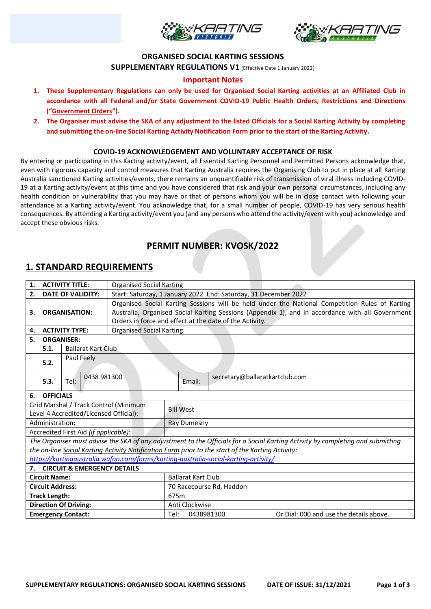



### **ORGANISED SOCIAL KARTING SESSIONS**

**SUPPLEMENTARY REGULATIONS V1** (Effective Date 1 January 2022)

### **Important Notes**

- **1. These Supplementary Regulations can only be used for Organised Social Karting activities at an Affiliated Club in accordance with all Federal and/or State Government COVID-19 Public Health Orders, Restrictions and Directions ("Government Orders").**
- **2. The Organiser must advise the SKA of any adjustment to the listed Officials for a Social Karting Activity by completing and submitting the on-line Social Karting Activity Notification Form prior to the start of the Karting Activity.**

#### **COVID-19 ACKNOWLEDGEMENT AND VOLUNTARY ACCEPTANCE OF RISK**

By entering or participating in this Karting activity/event, all Essential Karting Personnel and Permitted Persons acknowledge that, even with rigorous capacity and control measures that Karting Australia requires the Organising Club to put in place at all Karting Australia sanctioned Karting activities/events, there remains an unquantifiable risk of transmission of viral illness including COVID-19 at a Karting activity/event at this time and you have considered that risk and your own personal circumstances, including any health condition or vulnerability that you may have or that of persons whom you will be in close contact with following your attendance at a Karting activity/event. You acknowledge that, for a small number of people, COVID-19 has very serious health consequences. By attending a Karting activity/event you (and any persons who attend the activity/event with you) acknowledge and accept these obvious risks.

## **PERMIT NUMBER: KVOSK/2022**

## **1. STANDARD REQUIREMENTS**

| <b>ACTIVITY TITLE:</b><br><b>Organised Social Karting</b><br>1.                     |                                   |                                        |                                                                                                  |                                                                                                |            |                                                                                                   |                                                                                                                                 |  |  |
|-------------------------------------------------------------------------------------|-----------------------------------|----------------------------------------|--------------------------------------------------------------------------------------------------|------------------------------------------------------------------------------------------------|------------|---------------------------------------------------------------------------------------------------|---------------------------------------------------------------------------------------------------------------------------------|--|--|
| <b>DATE OF VALIDITY:</b><br>2.                                                      |                                   |                                        | Start: Saturday, 1 January 2022 End: Saturday, 31 December 2022                                  |                                                                                                |            |                                                                                                   |                                                                                                                                 |  |  |
|                                                                                     |                                   |                                        |                                                                                                  | Organised Social Karting Sessions will be held under the National Competition Rules of Karting |            |                                                                                                   |                                                                                                                                 |  |  |
| <b>ORGANISATION:</b><br>З.                                                          |                                   |                                        | Australia, Organised Social Karting Sessions (Appendix 1), and in accordance with all Government |                                                                                                |            |                                                                                                   |                                                                                                                                 |  |  |
|                                                                                     |                                   |                                        | Orders in force and effect at the date of the Activity.                                          |                                                                                                |            |                                                                                                   |                                                                                                                                 |  |  |
| <b>ACTIVITY TYPE:</b><br>4.                                                         |                                   |                                        | <b>Organised Social Karting</b>                                                                  |                                                                                                |            |                                                                                                   |                                                                                                                                 |  |  |
| <b>ORGANISER:</b><br>5.                                                             |                                   |                                        |                                                                                                  |                                                                                                |            |                                                                                                   |                                                                                                                                 |  |  |
|                                                                                     | <b>Ballarat Kart Club</b><br>5.1. |                                        |                                                                                                  |                                                                                                |            |                                                                                                   |                                                                                                                                 |  |  |
|                                                                                     |                                   | Paul Feely                             |                                                                                                  |                                                                                                |            |                                                                                                   |                                                                                                                                 |  |  |
|                                                                                     | 5.2.                              |                                        |                                                                                                  |                                                                                                |            |                                                                                                   |                                                                                                                                 |  |  |
|                                                                                     |                                   | 0438 981300                            |                                                                                                  |                                                                                                |            | secretary@ballaratkartclub.com                                                                    |                                                                                                                                 |  |  |
|                                                                                     | 5.3.                              | Tel:                                   |                                                                                                  |                                                                                                | Email:     |                                                                                                   |                                                                                                                                 |  |  |
| 6.                                                                                  | <b>OFFICIALS</b>                  |                                        |                                                                                                  |                                                                                                |            |                                                                                                   |                                                                                                                                 |  |  |
|                                                                                     |                                   | Grid Marshal / Track Control (Minimum  |                                                                                                  | <b>Bill West</b>                                                                               |            |                                                                                                   |                                                                                                                                 |  |  |
|                                                                                     |                                   | Level 4 Accredited/Licensed Official): |                                                                                                  |                                                                                                |            |                                                                                                   |                                                                                                                                 |  |  |
|                                                                                     | Administration:                   |                                        |                                                                                                  | Ray Dumesny                                                                                    |            |                                                                                                   |                                                                                                                                 |  |  |
|                                                                                     |                                   | Accredited First Aid (if applicable):  |                                                                                                  |                                                                                                |            |                                                                                                   |                                                                                                                                 |  |  |
|                                                                                     |                                   |                                        |                                                                                                  |                                                                                                |            |                                                                                                   | The Organiser must advise the SKA of any adjustment to the Officials for a Social Karting Activity by completing and submitting |  |  |
|                                                                                     |                                   |                                        |                                                                                                  |                                                                                                |            | the on-line Social Karting Activity Notification Form prior to the start of the Karting Activity: |                                                                                                                                 |  |  |
| https://kartingaustralia.wufoo.com/forms/karting-australia-social-karting-activity/ |                                   |                                        |                                                                                                  |                                                                                                |            |                                                                                                   |                                                                                                                                 |  |  |
| 7.                                                                                  |                                   | <b>CIRCUIT &amp; EMERGENCY DETAILS</b> |                                                                                                  |                                                                                                |            |                                                                                                   |                                                                                                                                 |  |  |
| <b>Circuit Name:</b>                                                                |                                   |                                        |                                                                                                  | <b>Ballarat Kart Club</b>                                                                      |            |                                                                                                   |                                                                                                                                 |  |  |
| <b>Circuit Address:</b>                                                             |                                   |                                        |                                                                                                  | 70 Racecourse Rd, Haddon                                                                       |            |                                                                                                   |                                                                                                                                 |  |  |
| <b>Track Length:</b>                                                                |                                   |                                        |                                                                                                  | 675m                                                                                           |            |                                                                                                   |                                                                                                                                 |  |  |
| <b>Direction Of Driving:</b>                                                        |                                   |                                        |                                                                                                  | Anti Clockwise                                                                                 |            |                                                                                                   |                                                                                                                                 |  |  |
| <b>Emergency Contact:</b>                                                           |                                   |                                        |                                                                                                  | Tel:                                                                                           | 0438981300 |                                                                                                   | Or Dial: 000 and use the details above.                                                                                         |  |  |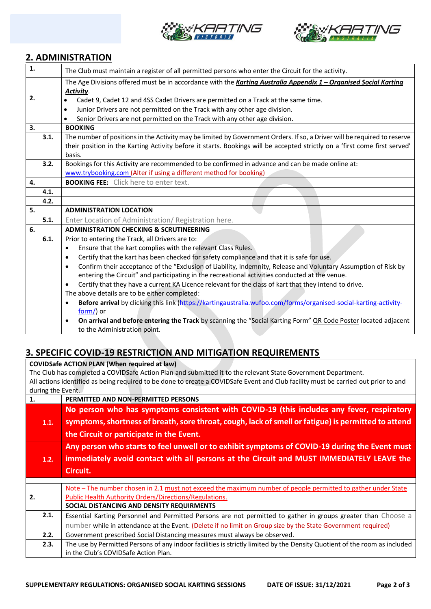



## **2. ADMINISTRATION**

| $\mathbf{1}$ . |      | The Club must maintain a register of all permitted persons who enter the Circuit for the activity.                           |  |
|----------------|------|------------------------------------------------------------------------------------------------------------------------------|--|
|                |      | The Age Divisions offered must be in accordance with the Karting Australia Appendix 1 - Organised Social Karting             |  |
|                |      | Activity.                                                                                                                    |  |
| 2.             |      | Cadet 9, Cadet 12 and 4SS Cadet Drivers are permitted on a Track at the same time.<br>٠                                      |  |
|                |      | Junior Drivers are not permitted on the Track with any other age division.<br>$\bullet$                                      |  |
|                |      | Senior Drivers are not permitted on the Track with any other age division.                                                   |  |
| 3.             |      | <b>BOOKING</b>                                                                                                               |  |
|                | 3.1. | The number of positions in the Activity may be limited by Government Orders. If so, a Driver will be required to reserve     |  |
|                |      | their position in the Karting Activity before it starts. Bookings will be accepted strictly on a 'first come first served'   |  |
|                |      | basis.                                                                                                                       |  |
|                | 3.2. | Bookings for this Activity are recommended to be confirmed in advance and can be made online at:                             |  |
|                |      | www.trybooking.com (Alter if using a different method for booking)                                                           |  |
| 4.             |      | <b>BOOKING FEE:</b> Click here to enter text.                                                                                |  |
|                | 4.1. |                                                                                                                              |  |
|                | 4.2. |                                                                                                                              |  |
| 5.             |      | <b>ADMINISTRATION LOCATION</b>                                                                                               |  |
|                | 5.1. | Enter Location of Administration/ Registration here.                                                                         |  |
| 6.             |      | <b>ADMINISTRATION CHECKING &amp; SCRUTINEERING</b>                                                                           |  |
|                | 6.1. | Prior to entering the Track, all Drivers are to:                                                                             |  |
|                |      | Ensure that the kart complies with the relevant Class Rules.<br>$\bullet$                                                    |  |
|                |      | Certify that the kart has been checked for safety compliance and that it is safe for use.<br>$\bullet$                       |  |
|                |      | Confirm their acceptance of the "Exclusion of Liability, Indemnity, Release and Voluntary Assumption of Risk by<br>$\bullet$ |  |
|                |      | entering the Circuit" and participating in the recreational activities conducted at the venue.                               |  |
|                |      | Certify that they have a current KA Licence relevant for the class of kart that they intend to drive.<br>$\bullet$           |  |
|                |      | The above details are to be either completed:                                                                                |  |
|                |      | Before arrival by clicking this link (https://kartingaustralia.wufoo.com/forms/organised-social-karting-activity-            |  |
|                |      | form/) or                                                                                                                    |  |
|                |      | On arrival and before entering the Track by scanning the "Social Karting Form" OR Code Poster located adjacent<br>$\bullet$  |  |
|                |      | to the Administration point.                                                                                                 |  |
|                |      |                                                                                                                              |  |

# **3. SPECIFIC COVID-19 RESTRICTION AND MITIGATION REQUIREMENTS**

**COVIDSafe ACTION PLAN (When required at law)**

The Club has completed a COVIDSafe Action Plan and submitted it to the relevant State Government Department. All actions identified as being required to be done to create a COVIDSafe Event and Club facility must be carried out prior to and during the Event.

| $0.01115$ and $0.011$ |                                                                                                                           |
|-----------------------|---------------------------------------------------------------------------------------------------------------------------|
| 1.                    | PERMITTED AND NON-PERMITTED PERSONS                                                                                       |
|                       | No person who has symptoms consistent with COVID-19 (this includes any fever, respiratory                                 |
| 1.1.                  | symptoms, shortness of breath, sore throat, cough, lack of smell or fatigue) is permitted to attend                       |
|                       | the Circuit or participate in the Event.                                                                                  |
|                       | Any person who starts to feel unwell or to exhibit symptoms of COVID-19 during the Event must                             |
| 1.2.                  | immediately avoid contact with all persons at the Circuit and MUST IMMEDIATELY LEAVE the                                  |
|                       | Circuit.                                                                                                                  |
|                       |                                                                                                                           |
|                       | Note - The number chosen in 2.1 must not exceed the maximum number of people permitted to gather under State              |
| 2.                    | Public Health Authority Orders/Directions/Regulations.                                                                    |
|                       | SOCIAL DISTANCING AND DENSITY REQUIRMENTS                                                                                 |
| 2.1.                  | Essential Karting Personnel and Permitted Persons are not permitted to gather in groups greater than Choose a             |
|                       |                                                                                                                           |
|                       | number while in attendance at the Event. (Delete if no limit on Group size by the State Government required)              |
| 2.2.                  | Government prescribed Social Distancing measures must always be observed.                                                 |
| 2.3.                  | The use by Permitted Persons of any indoor facilities is strictly limited by the Density Quotient of the room as included |
|                       | in the Club's COVIDSafe Action Plan.                                                                                      |